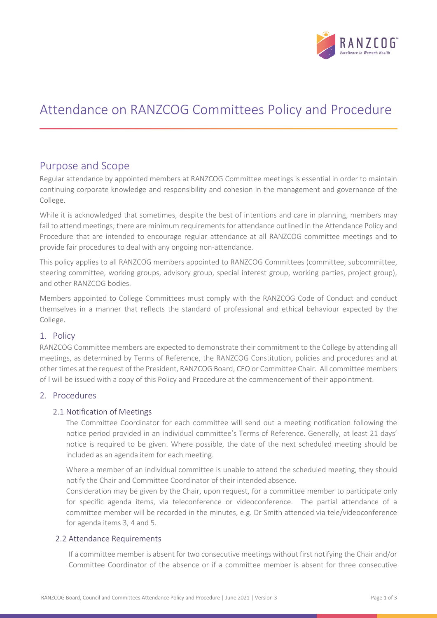

# Attendance on RANZCOG Committees Policy and Procedure

## Purpose and Scope

Regular attendance by appointed members at RANZCOG Committee meetings is essential in order to maintain continuing corporate knowledge and responsibility and cohesion in the management and governance of the College.

While it is acknowledged that sometimes, despite the best of intentions and care in planning, members may fail to attend meetings; there are minimum requirements for attendance outlined in the Attendance Policy and Procedure that are intended to encourage regular attendance at all RANZCOG committee meetings and to provide fair procedures to deal with any ongoing non-attendance.

This policy applies to all RANZCOG members appointed to RANZCOG Committees (committee, subcommittee, steering committee, working groups, advisory group, special interest group, working parties, project group), and other RANZCOG bodies.

Members appointed to College Committees must comply with the RANZCOG Code of Conduct and conduct themselves in a manner that reflects the standard of professional and ethical behaviour expected by the College.

### 1. Policy

RANZCOG Committee members are expected to demonstrate their commitment to the College by attending all meetings, as determined by Terms of Reference, the RANZCOG Constitution, policies and procedures and at other times at the request of the President, RANZCOG Board, CEO or Committee Chair. All committee members of l will be issued with a copy of this Policy and Procedure at the commencement of their appointment.

### 2. Procedures

### 2.1 Notification of Meetings

The Committee Coordinator for each committee will send out a meeting notification following the notice period provided in an individual committee's Terms of Reference. Generally, at least 21 days' notice is required to be given. Where possible, the date of the next scheduled meeting should be included as an agenda item for each meeting.

Where a member of an individual committee is unable to attend the scheduled meeting, they should notify the Chair and Committee Coordinator of their intended absence.

Consideration may be given by the Chair, upon request, for a committee member to participate only for specific agenda items, via teleconference or videoconference. The partial attendance of a committee member will be recorded in the minutes, e.g. Dr Smith attended via tele/videoconference for agenda items 3, 4 and 5.

### 2.2 Attendance Requirements

If a committee member is absent for two consecutive meetings without first notifying the Chair and/or Committee Coordinator of the absence or if a committee member is absent for three consecutive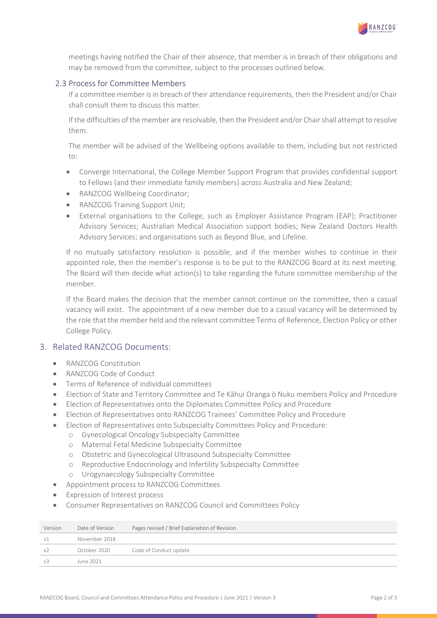

meetings having notified the Chair of their absence, that member is in breach of their obligations and may be removed from the committee, subject to the processes outlined below.

#### 2.3 Process for Committee Members

If a committee member is in breach of their attendance requirements, then the President and/or Chair shall consult them to discuss this matter.

If the difficulties of the member are resolvable, then the President and/or Chair shall attempt to resolve them.

The member will be advised of the Wellbeing options available to them, including but not restricted to:

- Converge International, the College Member Support Program that provides confidential support to Fellows (and their immediate family members) across Australia and New Zealand;
- RANZCOG Wellbeing Coordinator:
- RANZCOG Training Support Unit;
- External organisations to the College, such as Employer Assistance Program (EAP); Practitioner Advisory Services; Australian Medical Association support bodies; New Zealand Doctors Health Advisory Services; and organisations such as Beyond Blue, and Lifeline.

If no mutually satisfactory resolution is possible, and if the member wishes to continue in their appointed role, then the member's response is to be put to the RANZCOG Board at its next meeting. The Board will then decide what action(s) to take regarding the future committee membership of the member.

If the Board makes the decision that the member cannot continue on the committee, then a casual vacancy will exist. The appointment of a new member due to a casual vacancy will be determined by the role that the member held and the relevant committee Terms of Reference, Election Policy or other College Policy.

### 3. Related RANZCOG Documents:

- RANZCOG Constitution
- RANZCOG Code of Conduct
- Terms of Reference of individual committees
- Election of State and Territory Committee and Te Kāhui Oranga ō Nuku members Policy and Procedure
- Election of Representatives onto the Diplomates Committee Policy and Procedure
- Election of Representatives onto RANZCOG Trainees' Committee Policy and Procedure
- Election of Representatives onto Subspecialty Committees Policy and Procedure:
	- o Gynecological Oncology Subspecialty Committee
	- o Maternal Fetal Medicine Subspecialty Committee
	- o Obstetric and Gynecological Ultrasound Subspecialty Committee
	- o Reproductive Endocrinology and Infertility Subspecialty Committee
	- o Urogynaecology Subspecialty Committee
- Appointment process to RANZCOG Committees
- Expression of Interest process
- Consumer Representatives on RANZCOG Council and Committees Policy

| Version        | Date of Version | Pages revised / Brief Explanation of Revision |
|----------------|-----------------|-----------------------------------------------|
| v1             | November 2018   |                                               |
| v2             | October 2020    | Code of Conduct update                        |
| V <sub>2</sub> | lune 2021       |                                               |